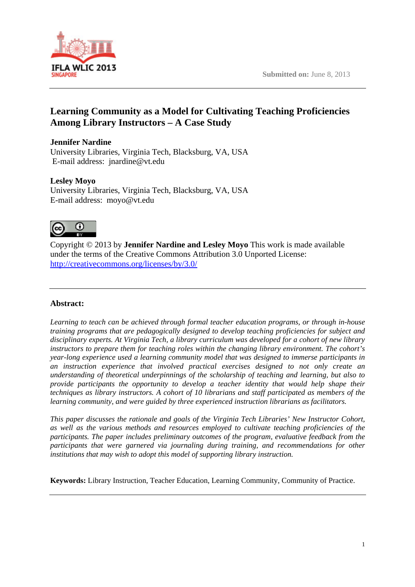

# **Learning Community as a Model for Cultivating Teaching Proficiencies Among Library Instructors – A Case Study**

# **Jennifer Nardine**

University Libraries, Virginia Tech, Blacksburg, VA, USA E-mail address: jnardine@vt.edu

# **Lesley Moyo**

University Libraries, Virginia Tech, Blacksburg, VA, USA E-mail address: moyo@vt.edu



Copyright © 2013 by **Jennifer Nardine and Lesley Moyo** This work is made available under the terms of the Creative Commons Attribution 3.0 Unported License: http://creativecommons.org/licenses/by/3.0/

# **Abstract:**

*Learning to teach can be achieved through formal teacher education programs, or through in-house training programs that are pedagogically designed to develop teaching proficiencies for subject and disciplinary experts. At Virginia Tech, a library curriculum was developed for a cohort of new library instructors to prepare them for teaching roles within the changing library environment. The cohort's year-long experience used a learning community model that was designed to immerse participants in an instruction experience that involved practical exercises designed to not only create an understanding of theoretical underpinnings of the scholarship of teaching and learning, but also to provide participants the opportunity to develop a teacher identity that would help shape their techniques as library instructors. A cohort of 10 librarians and staff participated as members of the learning community, and were guided by three experienced instruction librarians as facilitators.* 

*This paper discusses the rationale and goals of the Virginia Tech Libraries' New Instructor Cohort, as well as the various methods and resources employed to cultivate teaching proficiencies of the participants. The paper includes preliminary outcomes of the program, evaluative feedback from the participants that were garnered via journaling during training, and recommendations for other institutions that may wish to adopt this model of supporting library instruction.* 

**Keywords:** Library Instruction, Teacher Education, Learning Community, Community of Practice.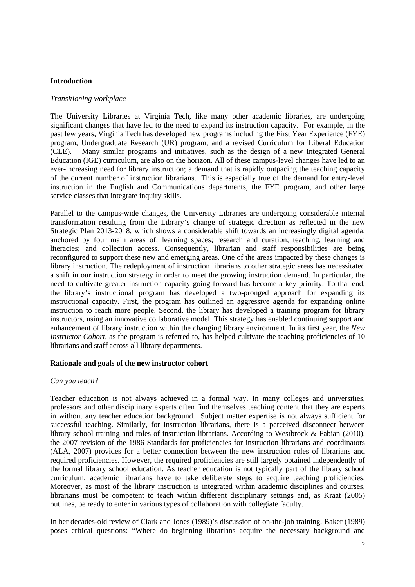#### **Introduction**

#### *Transitioning workplace*

The University Libraries at Virginia Tech, like many other academic libraries, are undergoing significant changes that have led to the need to expand its instruction capacity. For example, in the past few years, Virginia Tech has developed new programs including the First Year Experience (FYE) program, Undergraduate Research (UR) program, and a revised Curriculum for Liberal Education (CLE). Many similar programs and initiatives, such as the design of a new Integrated General Education (IGE) curriculum, are also on the horizon. All of these campus-level changes have led to an ever-increasing need for library instruction; a demand that is rapidly outpacing the teaching capacity of the current number of instruction librarians. This is especially true of the demand for entry-level instruction in the English and Communications departments, the FYE program, and other large service classes that integrate inquiry skills.

Parallel to the campus-wide changes, the University Libraries are undergoing considerable internal transformation resulting from the Library's change of strategic direction as reflected in the new Strategic Plan 2013-2018, which shows a considerable shift towards an increasingly digital agenda, anchored by four main areas of: learning spaces; research and curation; teaching, learning and literacies; and collection access. Consequently, librarian and staff responsibilities are being reconfigured to support these new and emerging areas. One of the areas impacted by these changes is library instruction. The redeployment of instruction librarians to other strategic areas has necessitated a shift in our instruction strategy in order to meet the growing instruction demand. In particular, the need to cultivate greater instruction capacity going forward has become a key priority. To that end, the library's instructional program has developed a two-pronged approach for expanding its instructional capacity. First, the program has outlined an aggressive agenda for expanding online instruction to reach more people. Second, the library has developed a training program for library instructors, using an innovative collaborative model. This strategy has enabled continuing support and enhancement of library instruction within the changing library environment. In its first year, the *New Instructor Cohort*, as the program is referred to, has helped cultivate the teaching proficiencies of 10 librarians and staff across all library departments.

#### **Rationale and goals of the new instructor cohort**

#### *Can you teach?*

Teacher education is not always achieved in a formal way. In many colleges and universities, professors and other disciplinary experts often find themselves teaching content that they are experts in without any teacher education background. Subject matter expertise is not always sufficient for successful teaching. Similarly, for instruction librarians, there is a perceived disconnect between library school training and roles of instruction librarians. According to Westbrock & Fabian (2010), the 2007 revision of the 1986 Standards for proficiencies for instruction librarians and coordinators (ALA, 2007) provides for a better connection between the new instruction roles of librarians and required proficiencies. However, the required proficiencies are still largely obtained independently of the formal library school education. As teacher education is not typically part of the library school curriculum, academic librarians have to take deliberate steps to acquire teaching proficiencies. Moreover, as most of the library instruction is integrated within academic disciplines and courses, librarians must be competent to teach within different disciplinary settings and, as Kraat (2005) outlines, be ready to enter in various types of collaboration with collegiate faculty.

In her decades-old review of Clark and Jones (1989)'s discussion of on-the-job training, Baker (1989) poses critical questions: "Where do beginning librarians acquire the necessary background and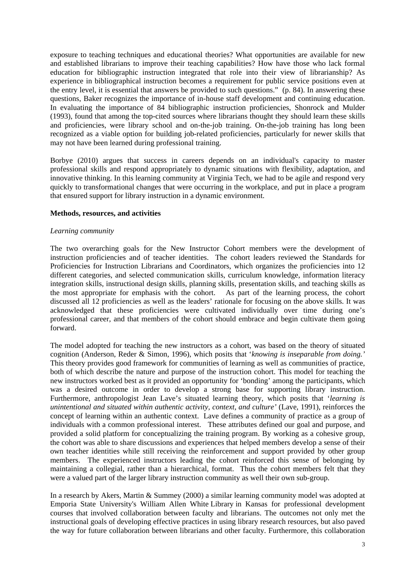exposure to teaching techniques and educational theories? What opportunities are available for new and established librarians to improve their teaching capabilities? How have those who lack formal education for bibliographic instruction integrated that role into their view of librarianship? As experience in bibliographical instruction becomes a requirement for public service positions even at the entry level, it is essential that answers be provided to such questions." (p. 84). In answering these questions, Baker recognizes the importance of in-house staff development and continuing education. In evaluating the importance of 84 bibliographic instruction proficiencies, Shonrock and Mulder (1993), found that among the top-cited sources where librarians thought they should learn these skills and proficiencies, were library school and on-the-job training. On-the-job training has long been recognized as a viable option for building job-related proficiencies, particularly for newer skills that may not have been learned during professional training.

Borbye (2010) argues that success in careers depends on an individual's capacity to master professional skills and respond appropriately to dynamic situations with flexibility, adaptation, and innovative thinking. In this learning community at Virginia Tech, we had to be agile and respond very quickly to transformational changes that were occurring in the workplace, and put in place a program that ensured support for library instruction in a dynamic environment.

#### **Methods, resources, and activities**

#### *Learning community*

The two overarching goals for the New Instructor Cohort members were the development of instruction proficiencies and of teacher identities. The cohort leaders reviewed the Standards for Proficiencies for Instruction Librarians and Coordinators, which organizes the proficiencies into 12 different categories, and selected communication skills, curriculum knowledge, information literacy integration skills, instructional design skills, planning skills, presentation skills, and teaching skills as the most appropriate for emphasis with the cohort. As part of the learning process, the cohort discussed all 12 proficiencies as well as the leaders' rationale for focusing on the above skills. It was acknowledged that these proficiencies were cultivated individually over time during one's professional career, and that members of the cohort should embrace and begin cultivate them going forward.

The model adopted for teaching the new instructors as a cohort, was based on the theory of situated cognition (Anderson, Reder & Simon, 1996), which posits that '*knowing is inseparable from doing.'* This theory provides good framework for communities of learning as well as communities of practice, both of which describe the nature and purpose of the instruction cohort. This model for teaching the new instructors worked best as it provided an opportunity for 'bonding' among the participants, which was a desired outcome in order to develop a strong base for supporting library instruction. Furthermore, anthropologist Jean Lave's situated learning theory, which posits that '*learning is unintentional and situated within authentic activity, context, and culture'* (Lave, 1991), reinforces the concept of learning within an authentic context. Lave defines a community of practice as a group of individuals with a common professional interest. These attributes defined our goal and purpose, and provided a solid platform for conceptualizing the training program. By working as a cohesive group, the cohort was able to share discussions and experiences that helped members develop a sense of their own teacher identities while still receiving the reinforcement and support provided by other group members. The experienced instructors leading the cohort reinforced this sense of belonging by maintaining a collegial, rather than a hierarchical, format. Thus the cohort members felt that they were a valued part of the larger library instruction community as well their own sub-group.

In a research by Akers, Martin & Summey (2000) a similar learning community model was adopted at Emporia State University's William Allen White Library in Kansas for professional development courses that involved collaboration between faculty and librarians. The outcomes not only met the instructional goals of developing effective practices in using library research resources, but also paved the way for future collaboration between librarians and other faculty. Furthermore, this collaboration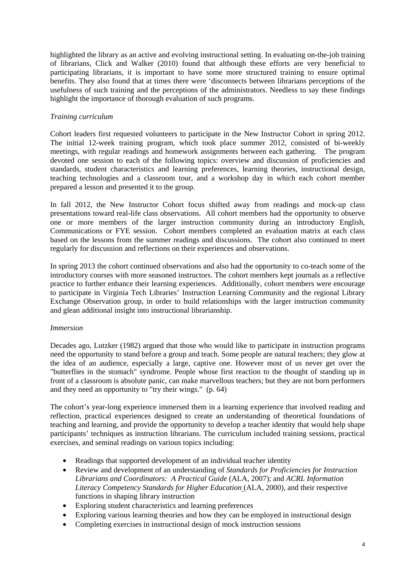highlighted the library as an active and evolving instructional setting. In evaluating on-the-job training of librarians, Click and Walker (2010) found that although these efforts are very beneficial to participating librarians, it is important to have some more structured training to ensure optimal benefits. They also found that at times there were 'disconnects between librarians perceptions of the usefulness of such training and the perceptions of the administrators. Needless to say these findings highlight the importance of thorough evaluation of such programs.

# *Training curriculum*

Cohort leaders first requested volunteers to participate in the New Instructor Cohort in spring 2012. The initial 12-week training program, which took place summer 2012, consisted of bi-weekly meetings, with regular readings and homework assignments between each gathering. The program devoted one session to each of the following topics: overview and discussion of proficiencies and standards, student characteristics and learning preferences, learning theories, instructional design, teaching technologies and a classroom tour, and a workshop day in which each cohort member prepared a lesson and presented it to the group.

In fall 2012, the New Instructor Cohort focus shifted away from readings and mock-up class presentations toward real-life class observations. All cohort members had the opportunity to observe one or more members of the larger instruction community during an introductory English, Communications or FYE session. Cohort members completed an evaluation matrix at each class based on the lessons from the summer readings and discussions. The cohort also continued to meet regularly for discussion and reflections on their experiences and observations.

In spring 2013 the cohort continued observations and also had the opportunity to co-teach some of the introductory courses with more seasoned instructors. The cohort members kept journals as a reflective practice to further enhance their learning experiences. Additionally, cohort members were encourage to participate in Virginia Tech Libraries' Instruction Learning Community and the regional Library Exchange Observation group, in order to build relationships with the larger instruction community and glean additional insight into instructional librarianship.

### *Immersion*

Decades ago, Lutzker (1982) argued that those who would like to participate in instruction programs need the opportunity to stand before a group and teach. Some people are natural teachers; they glow at the idea of an audience, especially a large, captive one. However most of us never get over the "butterflies in the stomach" syndrome. People whose first reaction to the thought of standing up in front of a classroom is absolute panic, can make marvellous teachers; but they are not born performers and they need an opportunity to "try their wings." (p. 64)

The cohort's year-long experience immersed them in a learning experience that involved reading and reflection, practical experiences designed to create an understanding of theoretical foundations of teaching and learning, and provide the opportunity to develop a teacher identity that would help shape participants' techniques as instruction librarians. The curriculum included training sessions, practical exercises, and seminal readings on various topics including:

- Readings that supported development of an individual teacher identity
- Review and development of an understanding of *Standards for Proficiencies for Instruction Librarians and Coordinators: A Practical Guide* (ALA, 2007); and *ACRL Information Literacy Competency Standards for Higher Education* (ALA, 2000), and their respective functions in shaping library instruction
- Exploring student characteristics and learning preferences
- Exploring various learning theories and how they can be employed in instructional design
- Completing exercises in instructional design of mock instruction sessions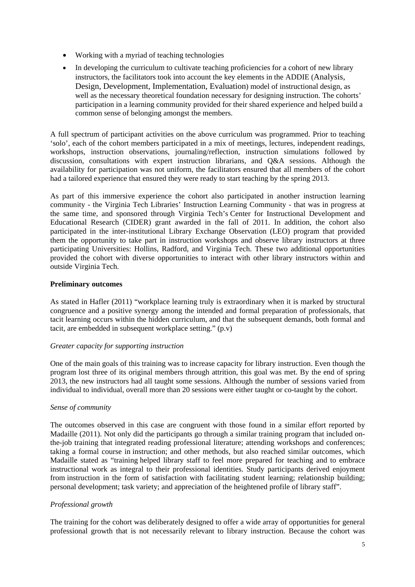- Working with a myriad of teaching technologies
- In developing the curriculum to cultivate teaching proficiencies for a cohort of new library instructors, the facilitators took into account the key elements in the ADDIE (Analysis, Design, Development, Implementation, Evaluation) model of instructional design, as well as the necessary theoretical foundation necessary for designing instruction. The cohorts' participation in a learning community provided for their shared experience and helped build a common sense of belonging amongst the members.

A full spectrum of participant activities on the above curriculum was programmed. Prior to teaching 'solo', each of the cohort members participated in a mix of meetings, lectures, independent readings, workshops, instruction observations, journaling/reflection, instruction simulations followed by discussion, consultations with expert instruction librarians, and Q&A sessions. Although the availability for participation was not uniform, the facilitators ensured that all members of the cohort had a tailored experience that ensured they were ready to start teaching by the spring 2013.

As part of this immersive experience the cohort also participated in another instruction learning community - the Virginia Tech Libraries' Instruction Learning Community - that was in progress at the same time, and sponsored through Virginia Tech's Center for Instructional Development and Educational Research (CIDER) grant awarded in the fall of 2011. In addition, the cohort also participated in the inter-institutional Library Exchange Observation (LEO) program that provided them the opportunity to take part in instruction workshops and observe library instructors at three participating Universities: Hollins, Radford, and Virginia Tech. These two additional opportunities provided the cohort with diverse opportunities to interact with other library instructors within and outside Virginia Tech.

# **Preliminary outcomes**

As stated in Hafler (2011) "workplace learning truly is extraordinary when it is marked by structural congruence and a positive synergy among the intended and formal preparation of professionals, that tacit learning occurs within the hidden curriculum, and that the subsequent demands, both formal and tacit, are embedded in subsequent workplace setting." (p.v)

### *Greater capacity for supporting instruction*

One of the main goals of this training was to increase capacity for library instruction. Even though the program lost three of its original members through attrition, this goal was met. By the end of spring 2013, the new instructors had all taught some sessions. Although the number of sessions varied from individual to individual, overall more than 20 sessions were either taught or co-taught by the cohort.

### *Sense of community*

The outcomes observed in this case are congruent with those found in a similar effort reported by Madaille (2011). Not only did the participants go through a similar training program that included onthe-job training that integrated reading professional literature; attending workshops and conferences; taking a formal course in instruction; and other methods, but also reached similar outcomes, which Madaille stated as "training helped library staff to feel more prepared for teaching and to embrace instructional work as integral to their professional identities. Study participants derived enjoyment from instruction in the form of satisfaction with facilitating student learning; relationship building; personal development; task variety; and appreciation of the heightened profile of library staff".

### *Professional growth*

The training for the cohort was deliberately designed to offer a wide array of opportunities for general professional growth that is not necessarily relevant to library instruction. Because the cohort was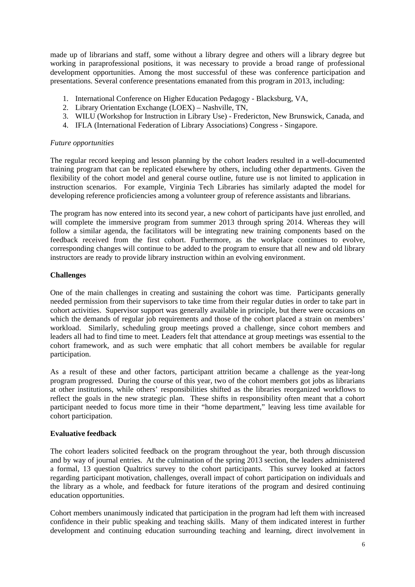made up of librarians and staff, some without a library degree and others will a library degree but working in paraprofessional positions, it was necessary to provide a broad range of professional development opportunities. Among the most successful of these was conference participation and presentations. Several conference presentations emanated from this program in 2013, including:

- 1. International Conference on Higher Education Pedagogy Blacksburg, VA,
- 2. Library Orientation Exchange (LOEX) Nashville, TN,
- 3. WILU (Workshop for Instruction in Library Use) Fredericton, New Brunswick, Canada, and
- 4. IFLA (International Federation of Library Associations) Congress Singapore.

#### *Future opportunities*

The regular record keeping and lesson planning by the cohort leaders resulted in a well-documented training program that can be replicated elsewhere by others, including other departments. Given the flexibility of the cohort model and general course outline, future use is not limited to application in instruction scenarios. For example, Virginia Tech Libraries has similarly adapted the model for developing reference proficiencies among a volunteer group of reference assistants and librarians.

The program has now entered into its second year, a new cohort of participants have just enrolled, and will complete the immersive program from summer 2013 through spring 2014. Whereas they will follow a similar agenda, the facilitators will be integrating new training components based on the feedback received from the first cohort. Furthermore, as the workplace continues to evolve, corresponding changes will continue to be added to the program to ensure that all new and old library instructors are ready to provide library instruction within an evolving environment.

### **Challenges**

One of the main challenges in creating and sustaining the cohort was time. Participants generally needed permission from their supervisors to take time from their regular duties in order to take part in cohort activities. Supervisor support was generally available in principle, but there were occasions on which the demands of regular job requirements and those of the cohort placed a strain on members' workload. Similarly, scheduling group meetings proved a challenge, since cohort members and leaders all had to find time to meet. Leaders felt that attendance at group meetings was essential to the cohort framework, and as such were emphatic that all cohort members be available for regular participation.

As a result of these and other factors, participant attrition became a challenge as the year-long program progressed. During the course of this year, two of the cohort members got jobs as librarians at other institutions, while others' responsibilities shifted as the libraries reorganized workflows to reflect the goals in the new strategic plan. These shifts in responsibility often meant that a cohort participant needed to focus more time in their "home department," leaving less time available for cohort participation.

### **Evaluative feedback**

The cohort leaders solicited feedback on the program throughout the year, both through discussion and by way of journal entries. At the culmination of the spring 2013 section, the leaders administered a formal, 13 question Qualtrics survey to the cohort participants. This survey looked at factors regarding participant motivation, challenges, overall impact of cohort participation on individuals and the library as a whole, and feedback for future iterations of the program and desired continuing education opportunities.

Cohort members unanimously indicated that participation in the program had left them with increased confidence in their public speaking and teaching skills. Many of them indicated interest in further development and continuing education surrounding teaching and learning, direct involvement in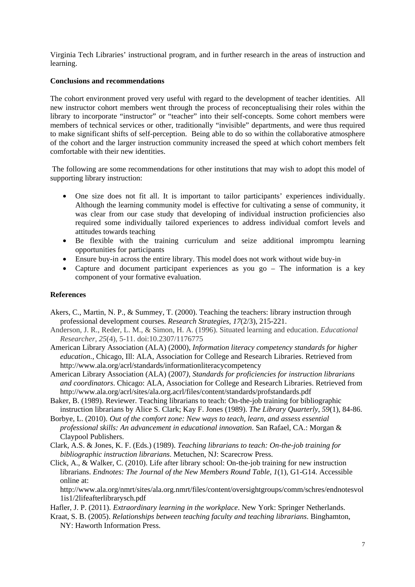Virginia Tech Libraries' instructional program, and in further research in the areas of instruction and learning.

### **Conclusions and recommendations**

The cohort environment proved very useful with regard to the development of teacher identities. All new instructor cohort members went through the process of reconceptualising their roles within the library to incorporate "instructor" or "teacher" into their self-concepts. Some cohort members were members of technical services or other, traditionally "invisible" departments, and were thus required to make significant shifts of self-perception. Being able to do so within the collaborative atmosphere of the cohort and the larger instruction community increased the speed at which cohort members felt comfortable with their new identities.

 The following are some recommendations for other institutions that may wish to adopt this model of supporting library instruction:

- One size does not fit all. It is important to tailor participants' experiences individually. Although the learning community model is effective for cultivating a sense of community, it was clear from our case study that developing of individual instruction proficiencies also required some individually tailored experiences to address individual comfort levels and attitudes towards teaching
- Be flexible with the training curriculum and seize additional impromptu learning opportunities for participants
- Ensure buy-in across the entire library. This model does not work without wide buy-in
- Capture and document participant experiences as you go The information is a key component of your formative evaluation.

# **References**

- Akers, C., Martin, N. P., & Summey, T. (2000). Teaching the teachers: library instruction through professional development courses. *Research Strategies, 17*(2/3), 215-221.
- Anderson, J. R., Reder, L. M., & Simon, H. A. (1996). Situated learning and education. *Educational Researcher, 25*(4), 5-11. doi:10.2307/1176775
- American Library Association (ALA) (2000), *Information literacy competency standards for higher education.*, Chicago, Ill: ALA, Association for College and Research Libraries. Retrieved from http://www.ala.org/acrl/standards/informationliteracycompetency
- American Library Association (ALA) (2007*), Standards for proficiencies for instruction librarians and coordinators*. Chicago: ALA, Association for College and Research Libraries. Retrieved from http://www.ala.org/acrl/sites/ala.org.acrl/files/content/standards/profstandards.pdf
- Baker, B. (1989). Reviewer. Teaching librarians to teach: On-the-job training for bibliographic instruction librarians by Alice S. Clark; Kay F. Jones (1989). *The Library Quarterly*, *59*(1), 84-86.
- Borbye, L. (2010). *Out of the comfort zone: New ways to teach, learn, and assess essential professional skills: An advancement in educational innovation*. San Rafael, CA.: Morgan & Claypool Publishers.
- Clark, A.S. & Jones, K. F. (Eds.) (1989). *Teaching librarians to teach: On-the-job training for bibliographic instruction librarians*. Metuchen, NJ: Scarecrow Press.
- Click, A., & Walker, C. (2010). Life after library school: On-the-job training for new instruction librarians. *Endnotes: The Journal of the New Members Round Table, 1*(1), G1-G14. Accessible online at:

http://www.ala.org/nmrt/sites/ala.org.nmrt/files/content/oversightgroups/comm/schres/endnotesvol 1is1/2lifeafterlibrarysch.pdf

Hafler, J. P. (2011). *Extraordinary learning in the workplace*. New York: Springer Netherlands.

Kraat, S. B. (2005). *Relationships between teaching faculty and teaching librarians*. Binghamton, NY: Haworth Information Press.